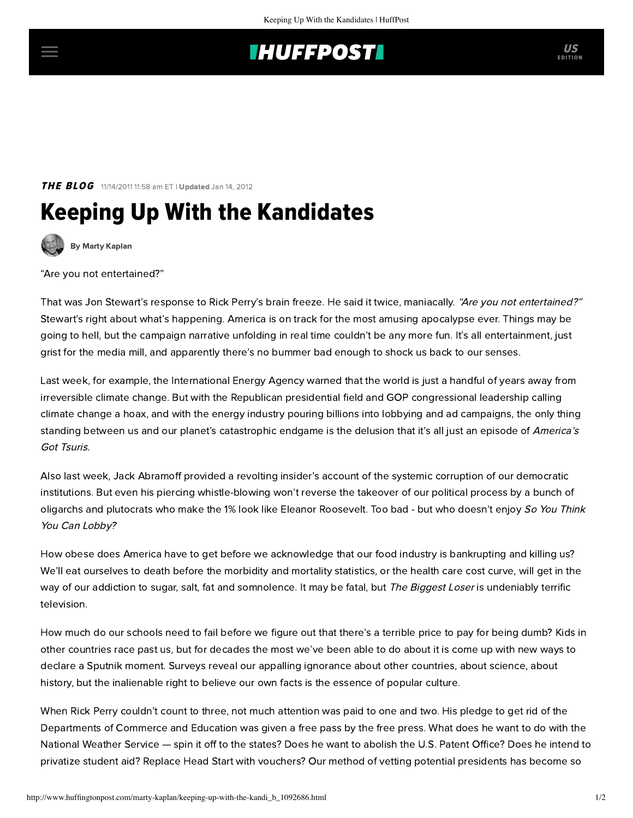## **INUFFPOSTI** US

### THE BLOG 11/14/2011 11:58 am ET | Updated Jan 14, 2012

# Keeping Up With the Kandidates



[By Marty Kaplan](http://www.huffingtonpost.com/author/marty-kaplan)

"Are you not entertained?"

[That](http://www.thedailyshow.com/full-episodes/thu-november-10-2011-adam-sandler) was Jon Stewart's response to Rick Perry's brain freeze. He said it twice, maniacally. "Are you not entertained?" Stewart's right about what's happening. America is on track for the most amusing apocalypse ever. Things may be going to hell, but the campaign narrative unfolding in real time couldn't be any more fun. It's all entertainment, just grist for the media mill, and apparently there's no bummer bad enough to shock us back to our senses.

Last week, for example, the International Energy Agency [warned](http://www.guardian.co.uk/environment/2011/nov/09/fossil-fuel-infrastructure-climate-change?newsfeed=true) that the world is just a handful of years away from irreversible climate change. But with the Republican presidential field and GOP congressional leadership calling climate change a hoax, and with the energy industry pouring billions into lobbying and ad campaigns, the only thing standing between us and our planet's catastrophic endgame is the delusion that it's all just an episode of America's Got Tsuris.

Also last week, Jack Abramoff provided a revolting [insider's account](http://www.cbsnews.com/8301-18560_162-57319075/jack-abramoff-the-lobbyists-playbook/) of the systemic corruption of our democratic institutions. But even his piercing whistle-blowing won't reverse the takeover of our political process by a bunch of oligarchs and plutocrats who make the 1% look like Eleanor Roosevelt. Too bad - but who doesn't enjoy So You Think You Can Lobby?

How obese does America have to get before we acknowledge that our food industry is bankrupting and killing us? We'll eat ourselves to death before the morbidity and mortality statistics, or the health care cost curve, will get in the way of our addiction to sugar, salt, fat and somnolence. It may be fatal, but The Biggest Loser is undeniably terrific television.

How much do our schools need to fail before we figure out that there's a terrible price to pay for being dumb? Kids in other countries race past us, but for decades the most we've been able to do about it is come up with new ways to declare a Sputnik moment. Surveys reveal our appalling ignorance about other countries, about science, about history, but the inalienable right to believe our own facts is the essence of popular culture.

When Rick Perry couldn't count to three, not much attention was paid to one and two. His pledge to get rid of the Departments of Commerce and Education was given a free pass by the free press. What does he want to do with the National Weather Service — spin it off to the states? Does he want to abolish the U.S. Patent Office? Does he intend to privatize student aid? Replace Head Start with vouchers? Our method of vetting potential presidents has become so